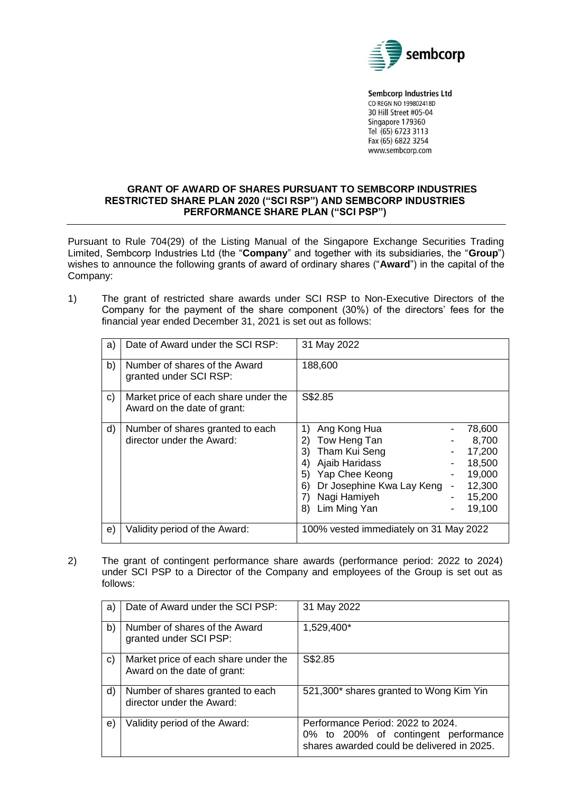

**Sembcorp Industries Ltd** CO REGN NO 199802418D 30 Hill Street #05-04 Singapore 179360 Tel (65) 6723 3113 Fax (65) 6822 3254 www.sembcorp.com

## **GRANT OF AWARD OF SHARES PURSUANT TO SEMBCORP INDUSTRIES RESTRICTED SHARE PLAN 2020 ("SCI RSP") AND SEMBCORP INDUSTRIES PERFORMANCE SHARE PLAN ("SCI PSP")**

Pursuant to Rule 704(29) of the Listing Manual of the Singapore Exchange Securities Trading Limited, Sembcorp Industries Ltd (the "**Company**" and together with its subsidiaries, the "**Group**") wishes to announce the following grants of award of ordinary shares ("**Award**") in the capital of the Company:

1) The grant of restricted share awards under SCI RSP to Non-Executive Directors of the Company for the payment of the share component (30%) of the directors' fees for the financial year ended December 31, 2021 is set out as follows:

| a) | Date of Award under the SCI RSP:                                    | 31 May 2022                                                                                                                                                                                                                                                                  |
|----|---------------------------------------------------------------------|------------------------------------------------------------------------------------------------------------------------------------------------------------------------------------------------------------------------------------------------------------------------------|
| b) | Number of shares of the Award<br>granted under SCI RSP:             | 188,600                                                                                                                                                                                                                                                                      |
| C) | Market price of each share under the<br>Award on the date of grant: | S\$2.85                                                                                                                                                                                                                                                                      |
| d) | Number of shares granted to each<br>director under the Award:       | Ang Kong Hua<br>78,600<br>1)<br>Tow Heng Tan<br>8,700<br>2)<br>Tham Kui Seng<br>17,200<br>3)<br>Ajaib Haridass<br>18,500<br>4)<br>Yap Chee Keong<br>19,000<br>5)<br>Dr Josephine Kwa Lay Keng<br>12,300<br>6)<br>-<br>Nagi Hamiyeh<br>15,200<br>Lim Ming Yan<br>19,100<br>8) |
| e) | Validity period of the Award:                                       | 100% vested immediately on 31 May 2022                                                                                                                                                                                                                                       |

2) The grant of contingent performance share awards (performance period: 2022 to 2024) under SCI PSP to a Director of the Company and employees of the Group is set out as follows:

| a) | Date of Award under the SCI PSP:                                    | 31 May 2022                                                                                                             |
|----|---------------------------------------------------------------------|-------------------------------------------------------------------------------------------------------------------------|
| b) | Number of shares of the Award<br>granted under SCI PSP:             | 1,529,400*                                                                                                              |
| C) | Market price of each share under the<br>Award on the date of grant: | S\$2.85                                                                                                                 |
| d) | Number of shares granted to each<br>director under the Award:       | 521,300* shares granted to Wong Kim Yin                                                                                 |
| e) | Validity period of the Award:                                       | Performance Period: 2022 to 2024.<br>0% to 200% of contingent performance<br>shares awarded could be delivered in 2025. |